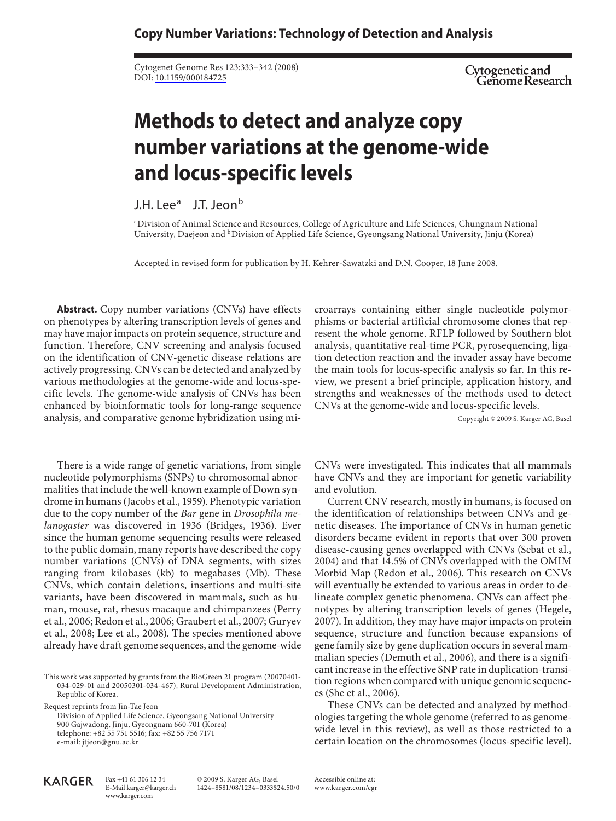Cytogenet Genome Res 123:333–342 (2008) DOI: [10.1159/000184725](http://dx.doi.org/10.1159%2F000184725)

Cytogenetic and<br>Genome Research

# **Methods to detect and analyze copy number variations at the genome-wide and locus-specific levels**

J.H. Leeª J.T. Jeon<sup>b</sup>

a Division of Animal Science and Resources, College of Agriculture and Life Sciences, Chungnam National University, Daejeon and <sup>b</sup> Division of Applied Life Science, Gyeongsang National University, Jinju (Korea)

Accepted in revised form for publication by H. Kehrer-Sawatzki and D.N. Cooper, 18 June 2008.

**Abstract.** Copy number variations (CNVs) have effects on phenotypes by altering transcription levels of genes and may have major impacts on protein sequence, structure and function. Therefore, CNV screening and analysis focused on the identification of CNV-genetic disease relations are actively progressing. CNVs can be detected and analyzed by various methodologies at the genome-wide and locus-specific levels. The genome-wide analysis of CNVs has been enhanced by bioinformatic tools for long-range sequence analysis, and comparative genome hybridization using mi-

 There is a wide range of genetic variations, from single nucleotide polymorphisms (SNPs) to chromosomal abnormalities that include the well-known example of Down syndrome in humans (Jacobs et al., 1959). Phenotypic variation due to the copy number of the *Bar* gene in *Drosophila melanogaster* was discovered in 1936 (Bridges, 1936). Ever since the human genome sequencing results were released to the public domain, many reports have described the copy number variations (CNVs) of DNA segments, with sizes ranging from kilobases (kb) to megabases (Mb). These CNVs, which contain deletions, insertions and multi-site variants, have been discovered in mammals, such as human, mouse, rat, rhesus macaque and chimpanzees (Perry et al., 2006; Redon et al., 2006; Graubert et al., 2007; Guryev et al., 2008; Lee et al., 2008). The species mentioned above already have draft genome sequences, and the genome-wide

croarrays containing either single nucleotide polymorphisms or bacterial artificial chromosome clones that represent the whole genome. RFLP followed by Southern blot analysis, quantitative real-time PCR, pyrosequencing, ligation detection reaction and the invader assay have become the main tools for locus-specific analysis so far. In this review, we present a brief principle, application history, and strengths and weaknesses of the methods used to detect CNVs at the genome-wide and locus-specific levels.

Copyright © 2009 S. Karger AG, Basel

CNVs were investigated. This indicates that all mammals have CNVs and they are important for genetic variability and evolution.

 Current CNV research, mostly in humans, is focused on the identification of relationships between CNVs and genetic diseases. The importance of CNVs in human genetic disorders became evident in reports that over 300 proven disease-causing genes overlapped with CNVs (Sebat et al., 2004) and that 14.5% of CNVs overlapped with the OMIM Morbid Map (Redon et al., 2006). This research on CNVs will eventually be extended to various areas in order to delineate complex genetic phenomena. CNVs can affect phenotypes by altering transcription levels of genes (Hegele, 2007). In addition, they may have major impacts on protein sequence, structure and function because expansions of gene family size by gene duplication occurs in several mammalian species (Demuth et al., 2006), and there is a significant increase in the effective SNP rate in duplication-transition regions when compared with unique genomic sequences (She et al., 2006).

 These CNVs can be detected and analyzed by methodologies targeting the whole genome (referred to as genomewide level in this review), as well as those restricted to a certain location on the chromosomes (locus-specific level).



Fax +41 61 306 12 34 E-Mail karger@karger.ch www.karger.com

 © 2009 S. Karger AG, Basel 1424–8581/08/1234–0333\$24.50/0  Accessible online at: www.karger.com/cgr

This work was supported by grants from the BioGreen 21 program (20070401- 034-029-01 and 20050301-034-467), Rural Development Administration, Republic of Korea.

Request reprints from Jin-Tae Jeon

Division of Applied Life Science, Gyeongsang National University 900 Gajwadong, Jinju, Gyeongnam 660-701 (Korea) telephone: +82 55 751 5516; fax: +82 55 756 7171 e-mail: jtjeon@gnu.ac.kr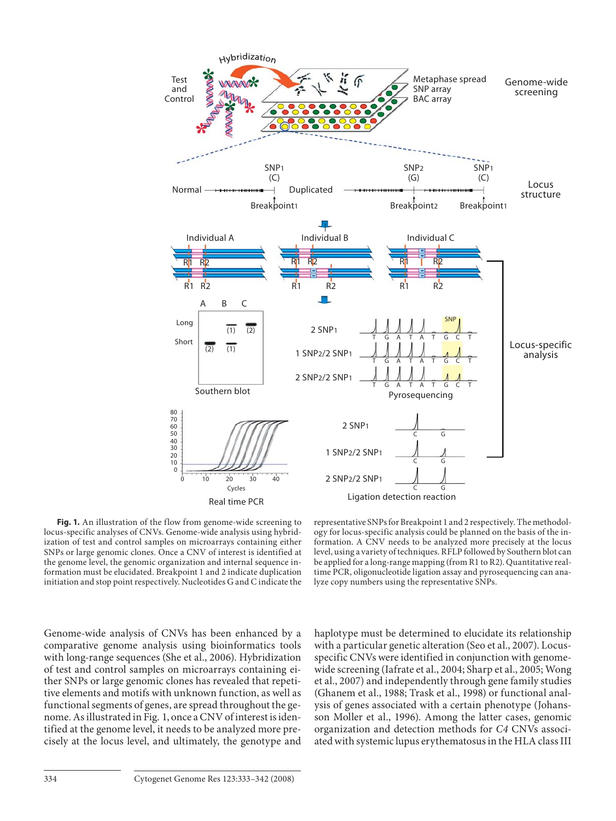

**Fig. 1.** An illustration of the flow from genome-wide screening to locus-specific analyses of CNVs. Genome-wide analysis using hybridization of test and control samples on microarrays containing either SNPs or large genomic clones. Once a CNV of interest is identified at the genome level, the genomic organization and internal sequence information must be elucidated. Breakpoint 1 and 2 indicate duplication initiation and stop point respectively. Nucleotides G and C indicate the

representative SNPs for Breakpoint 1 and 2 respectively. The methodology for locus-specific analysis could be planned on the basis of the information. A CNV needs to be analyzed more precisely at the locus level, using a variety of techniques. RFLP followed by Southern blot can be applied for a long-range mapping (from R1 to R2). Quantitative realtime PCR, oligonucleotide ligation assay and pyrosequencing can analyze copy numbers using the representative SNPs.

Genome-wide analysis of CNVs has been enhanced by a comparative genome analysis using bioinformatics tools with long-range sequences (She et al., 2006). Hybridization of test and control samples on microarrays containing either SNPs or large genomic clones has revealed that repetitive elements and motifs with unknown function, as well as functional segments of genes, are spread throughout the genome. As illustrated in Fig. 1, once a CNV of interest is identified at the genome level, it needs to be analyzed more precisely at the locus level, and ultimately, the genotype and

haplotype must be determined to elucidate its relationship with a particular genetic alteration (Seo et al., 2007). Locusspecific CNVs were identified in conjunction with genomewide screening (Iafrate et al., 2004; Sharp et al., 2005; Wong et al., 2007) and independently through gene family studies (Ghanem et al., 1988; Trask et al., 1998) or functional analysis of genes associated with a certain phenotype (Johansson Moller et al., 1996). Among the latter cases, genomic organization and detection methods for *C4* CNVs associated with systemic lupus erythematosus in the HLA class III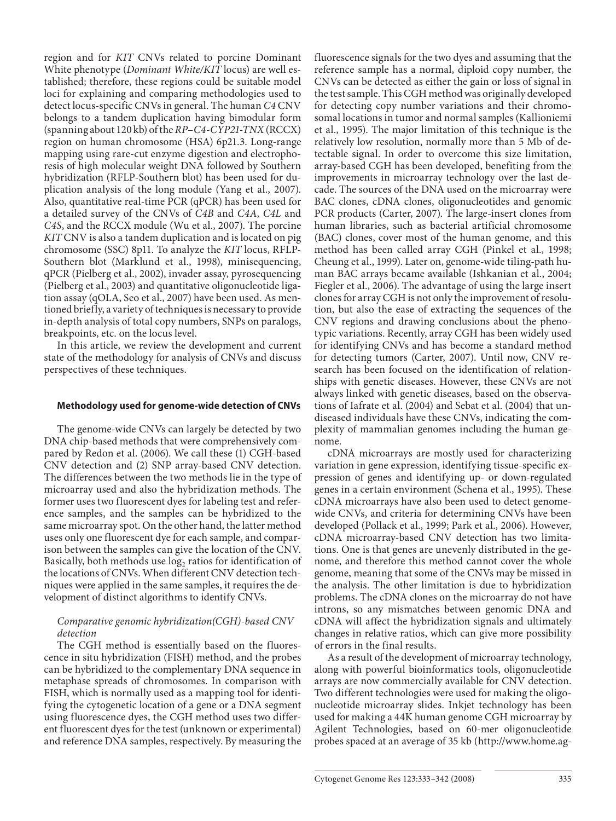region and for *KIT* CNVs related to porcine Dominant White phenotype (*Dominant White/KIT* locus) are well established; therefore, these regions could be suitable model loci for explaining and comparing methodologies used to detect locus-specific CNVs in general. The human *C4* CNV belongs to a tandem duplication having bimodular form (spanning about 120 kb) of the *RP* – *C4* - *CYP21* - *TNX* (RCCX) region on human chromosome (HSA) 6p21.3. Long-range mapping using rare-cut enzyme digestion and electrophoresis of high molecular weight DNA followed by Southern hybridization (RFLP-Southern blot) has been used for duplication analysis of the long module (Yang et al., 2007). Also, quantitative real-time PCR (qPCR) has been used for a detailed survey of the CNVs of *C4B* and *C4A* , *C4L* and *C4S* , and the RCCX module (Wu et al., 2007). The porcine *KIT* CNV is also a tandem duplication and is located on pig chromosome (SSC) 8p11. To analyze the *KIT* locus, RFLP-Southern blot (Marklund et al., 1998), minisequencing, qPCR (Pielberg et al., 2002), invader assay, pyrosequencing (Pielberg et al., 2003) and quantitative oligonucleotide ligation assay (qOLA, Seo et al., 2007) have been used. As mentioned briefly, a variety of techniques is necessary to provide in-depth analysis of total copy numbers, SNPs on paralogs, breakpoints, etc. on the locus level.

 In this article, we review the development and current state of the methodology for analysis of CNVs and discuss perspectives of these techniques.

#### **Methodology used for genome-wide detection of CNVs**

 The genome-wide CNVs can largely be detected by two DNA chip-based methods that were comprehensively compared by Redon et al. (2006). We call these (1) CGH-based CNV detection and (2) SNP array-based CNV detection. The differences between the two methods lie in the type of microarray used and also the hybridization methods. The former uses two fluorescent dyes for labeling test and reference samples, and the samples can be hybridized to the same microarray spot. On the other hand, the latter method uses only one fluorescent dye for each sample, and comparison between the samples can give the location of the CNV. Basically, both methods use  $log<sub>2</sub>$  ratios for identification of the locations of CNVs. When different CNV detection techniques were applied in the same samples, it requires the development of distinct algorithms to identify CNVs.

#### *Comparative genomic hybridization(CGH)-based CNV detection*

 The CGH method is essentially based on the fluorescence in situ hybridization (FISH) method, and the probes can be hybridized to the complementary DNA sequence in metaphase spreads of chromosomes. In comparison with FISH, which is normally used as a mapping tool for identifying the cytogenetic location of a gene or a DNA segment using fluorescence dyes, the CGH method uses two different fluorescent dyes for the test (unknown or experimental) and reference DNA samples, respectively. By measuring the fluorescence signals for the two dyes and assuming that the reference sample has a normal, diploid copy number, the CNVs can be detected as either the gain or loss of signal in the test sample. This CGH method was originally developed for detecting copy number variations and their chromosomal locations in tumor and normal samples (Kallioniemi et al., 1995). The major limitation of this technique is the relatively low resolution, normally more than 5 Mb of detectable signal. In order to overcome this size limitation, array-based CGH has been developed, benefiting from the improvements in microarray technology over the last decade. The sources of the DNA used on the microarray were BAC clones, cDNA clones, oligonucleotides and genomic PCR products (Carter, 2007). The large-insert clones from human libraries, such as bacterial artificial chromosome (BAC) clones, cover most of the human genome, and this method has been called array CGH (Pinkel et al., 1998; Cheung et al., 1999). Later on, genome-wide tiling-path human BAC arrays became available (Ishkanian et al., 2004; Fiegler et al., 2006). The advantage of using the large insert clones for array CGH is not only the improvement of resolution, but also the ease of extracting the sequences of the CNV regions and drawing conclusions about the phenotypic variations. Recently, array CGH has been widely used for identifying CNVs and has become a standard method for detecting tumors (Carter, 2007). Until now, CNV research has been focused on the identification of relationships with genetic diseases. However, these CNVs are not always linked with genetic diseases, based on the observations of Iafrate et al. (2004) and Sebat et al. (2004) that undiseased individuals have these CNVs, indicating the complexity of mammalian genomes including the human genome.

 cDNA microarrays are mostly used for characterizing variation in gene expression, identifying tissue-specific expression of genes and identifying up- or down-regulated genes in a certain environment (Schena et al., 1995). These cDNA microarrays have also been used to detect genomewide CNVs, and criteria for determining CNVs have been developed (Pollack et al., 1999; Park et al., 2006). However, cDNA microarray-based CNV detection has two limitations. One is that genes are unevenly distributed in the genome, and therefore this method cannot cover the whole genome, meaning that some of the CNVs may be missed in the analysis. The other limitation is due to hybridization problems. The cDNA clones on the microarray do not have introns, so any mismatches between genomic DNA and cDNA will affect the hybridization signals and ultimately changes in relative ratios, which can give more possibility of errors in the final results.

 As a result of the development of microarray technology, along with powerful bioinformatics tools, oligonucleotide arrays are now commercially available for CNV detection. Two different technologies were used for making the oligonucleotide microarray slides. Inkjet technology has been used for making a 44K human genome CGH microarray by Agilent Technologies, based on 60-mer oligonucleotide probes spaced at an average of 35 kb (http://www.home.ag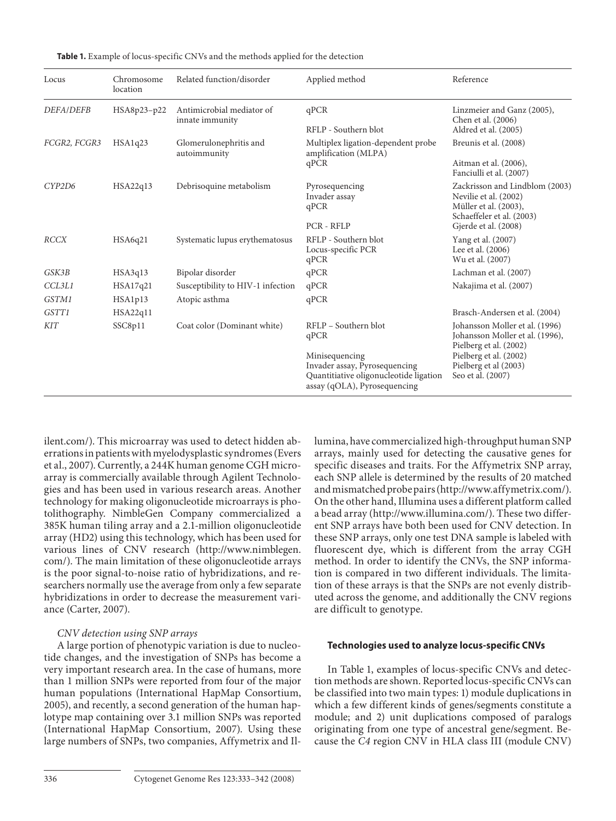Locus Chromosome location Related function/disorder Applied method Reference *DEFA*/*DEFB* HSA8p23–p22 Antimicrobial mediator of innate immunity qPCR Linzmeier and Ganz (2005), Chen et al. (2006) RFLP - Southern blot *FCGR2, FCGR3* HSA1q23 Glomerulonephritis and autoimmunity Multiplex ligation-dependent probe amplification (MLPA) Breunis et al. (2008) qPCR Aitman et al. (2006), Fanciulli et al. (2007) *CYP2D6* HSA22q13 Debrisoquine metabolism Pyrosequencing Zackrisson and Lindblom (2003)<br>Invader assay Nevilie et al. (2002) Nevilie et al. (2002) qPCR Müller et al. (2003), Schaeffeler et al. (2003) PCR - RFLP Gjerde et al. (2008) *RCCX* HSA6q21 Systematic lupus erythematosus RFLP - Southern blot Yang et al. (2007) Locus-specific PCR qPCR Wu et al. (2007) *GSK3B* HSA3q13 Bipolar disorder qPCR Lachman et al. (2007) *CCL3L1* HSA17q21 Susceptibility to HIV-1 infection qPCR Nakajima et al. (2007) *GSTM1* HSA1p13 Atopic asthma qPCR *GSTT1* HSA22q11 Brasch-Andersen et al. (2004) *KIT* SSC8p11 Coat color (Dominant white) RFLP – Southern blot Johansson Moller et al. (1996)<br> *QPCR* Johansson Moller et al. (1996) Johansson Moller et al. (1996), Pielberg et al. (2002) Minisequencing Pielberg et al. (2002) Invader assay, Pyrosequencing Pielberg et al (2003) Quantitiative oligonucleotide ligation assay (qOLA), Pyrosequencing Seo et al. (2007)

**Table 1.** Example of locus-specific CNVs and the methods applied for the detection

ilent.com/). This microarray was used to detect hidden aberrations in patients with myelodysplastic syndromes (Evers et al., 2007). Currently, a 244K human genome CGH microarray is commercially available through Agilent Technologies and has been used in various research areas. Another technology for making oligonucleotide microarrays is photolithography. NimbleGen Company commercialized a 385K human tiling array and a 2.1-million oligonucleotide array (HD2) using this technology, which has been used for various lines of CNV research (http://www.nimblegen. com/). The main limitation of these oligonucleotide arrays is the poor signal-to-noise ratio of hybridizations, and researchers normally use the average from only a few separate hybridizations in order to decrease the measurement variance (Carter, 2007).

## *CNV detection using SNP arrays*

 A large portion of phenotypic variation is due to nucleotide changes, and the investigation of SNPs has become a very important research area. In the case of humans, more than 1 million SNPs were reported from four of the major human populations (International HapMap Consortium, 2005), and recently, a second generation of the human haplotype map containing over 3.1 million SNPs was reported (International HapMap Consortium, 2007). Using these large numbers of SNPs, two companies, Affymetrix and Illumina, have commercialized high-throughput human SNP arrays, mainly used for detecting the causative genes for specific diseases and traits. For the Affymetrix SNP array, each SNP allele is determined by the results of 20 matched and mismatched probe pairs (http://www.affymetrix.com/). On the other hand, Illumina uses a different platform called a bead array (http://www.illumina.com/). These two different SNP arrays have both been used for CNV detection. In these SNP arrays, only one test DNA sample is labeled with fluorescent dye, which is different from the array CGH method. In order to identify the CNVs, the SNP information is compared in two different individuals. The limitation of these arrays is that the SNPs are not evenly distributed across the genome, and additionally the CNV regions are difficult to genotype.

## **Technologies used to analyze locus-specific CNVs**

In Table 1, examples of locus-specific CNVs and detection methods are shown. Reported locus-specific CNVs can be classified into two main types: 1) module duplications in which a few different kinds of genes/segments constitute a module; and 2) unit duplications composed of paralogs originating from one type of ancestral gene/segment. Because the *C4* region CNV in HLA class III (module CNV)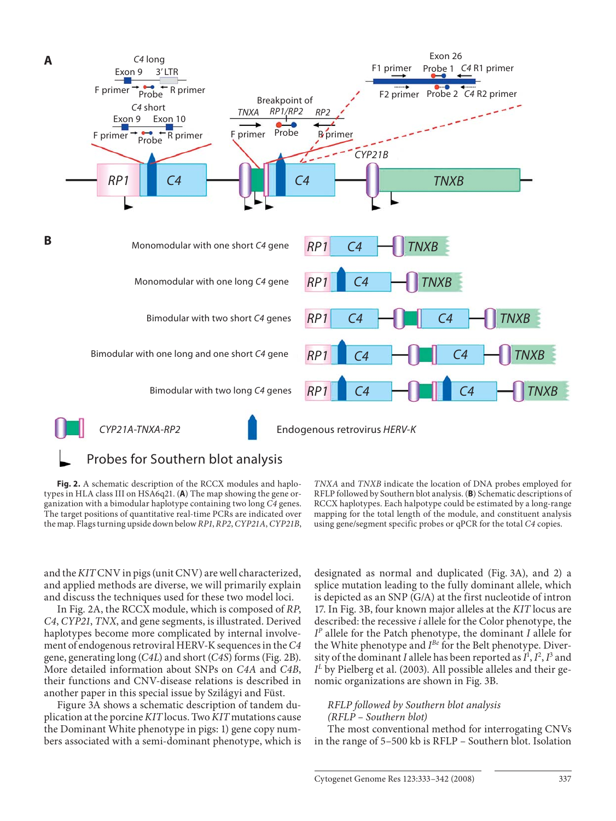

Probes for Southern blot analysis

**Fig. 2.** A schematic description of the RCCX modules and haplotypes in HLA class III on HSA6q21. (**A**) The map showing the gene organization with a bimodular haplotype containing two long *C4* genes. The target positions of quantitative real-time PCRs are indicated over the map. Flags turning upside down below *RP1* , *RP2* , *CYP21A* , *CYP21B* ,

*TNXA* and *TNXB* indicate the location of DNA probes employed for RFLP followed by Southern blot analysis. (**B**) Schematic descriptions of RCCX haplotypes. Each halpotype could be estimated by a long-range mapping for the total length of the module, and constituent analysis using gene/segment specific probes or qPCR for the total *C4* copies.

and the *KIT* CNV in pigs (unit CNV) are well characterized, and applied methods are diverse, we will primarily explain and discuss the techniques used for these two model loci.

In Fig. 2A, the RCCX module, which is composed of *RP*, *C4* , *CYP21* , *TNX* , and gene segments, is illustrated. Derived haplotypes become more complicated by internal involvement of endogenous retroviral HERV-K sequences in the *C4*  gene, generating long (*C4L*) and short (*C4S*) forms (Fig. 2B). More detailed information about SNPs on *C4A* and *C4B* , their functions and CNV-disease relations is described in another paper in this special issue by Szilágyi and Füst.

Figure 3A shows a schematic description of tandem duplication at the porcine *KIT* locus. Two *KIT* mutations cause the Dominant White phenotype in pigs: 1) gene copy numbers associated with a semi-dominant phenotype, which is

designated as normal and duplicated (Fig. 3A), and 2) a splice mutation leading to the fully dominant allele, which is depicted as an SNP (G/A) at the first nucleotide of intron 17. In Fig. 3B, four known major alleles at the *KIT* locus are described: the recessive *i* allele for the Color phenotype, the *IP* allele for the Patch phenotype, the dominant *I* allele for the White phenotype and  $I^{Be}$  for the Belt phenotype. Diversity of the dominant *I* allele has been reported as  $I^1$ ,  $I^2$ ,  $I^3$  and I<sup>L</sup> by Pielberg et al. (2003). All possible alleles and their genomic organizations are shown in Fig. 3B.

## *RFLP followed by Southern blot analysis (RFLP – Southern blot)*

 The most conventional method for interrogating CNVs in the range of 5–500 kb is RFLP – Southern blot. Isolation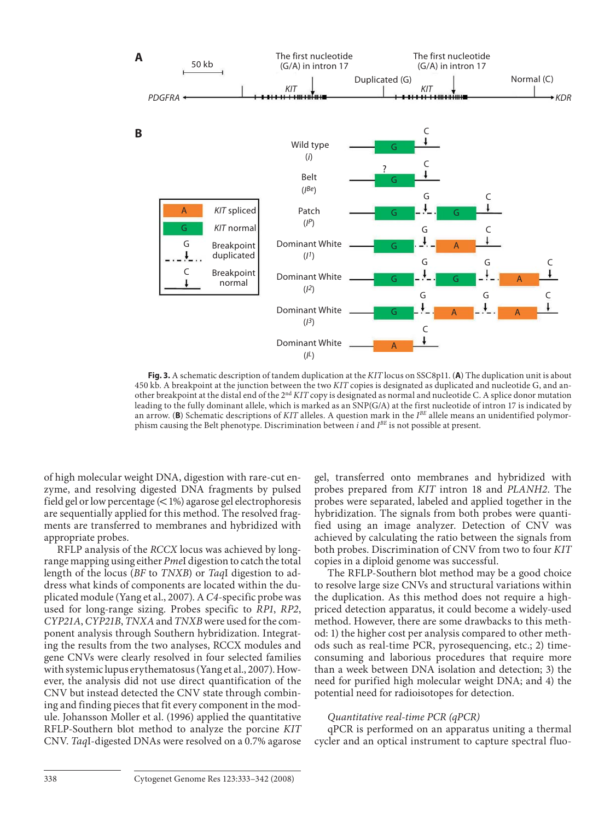

**Fig. 3.** A schematic description of tandem duplication at the *KIT* locus on SSC8p11. (**A**) The duplication unit is about 450 kb. A breakpoint at the junction between the two *KIT* copies is designated as duplicated and nucleotide G, and another breakpoint at the distal end of the 2<sup>nd</sup> *KIT* copy is designated as normal and nucleotide C. A splice donor mutation leading to the fully dominant allele, which is marked as an SNP(G/A) at the first nucleotide of intron 17 is indicated by an arrow. (**B**) Schematic descriptions of *KIT* alleles. A question mark in the  $I^{BE}$  allele means an unidentified polymorphism causing the Belt phenotype. Discrimination between *i* and *IBE* is not possible at present.

of high molecular weight DNA, digestion with rare-cut enzyme, and resolving digested DNA fragments by pulsed field gel or low percentage  $\leq$  1%) agarose gel electrophoresis are sequentially applied for this method. The resolved fragments are transferred to membranes and hybridized with appropriate probes.

 RFLP analysis of the *RCCX* locus was achieved by longrange mapping using either *PmeI* digestion to catch the total length of the locus (*BF* to *TNXB*) or *TaqI* digestion to address what kinds of components are located within the duplicated module (Yang et al., 2007). A *C4* -specific probe was used for long-range sizing. Probes specific to *RP1*, *RP2*, *CYP21A* , *CYP21B* , *TNXA* and *TNXB* were used for the component analysis through Southern hybridization. Integrating the results from the two analyses, RCCX modules and gene CNVs were clearly resolved in four selected families with systemic lupus erythematosus (Yang et al., 2007). However, the analysis did not use direct quantification of the CNV but instead detected the CNV state through combining and finding pieces that fit every component in the module. Johansson Moller et al. (1996) applied the quantitative RFLP-Southern blot method to analyze the porcine *KIT* CNV. *Taq* I-digested DNAs were resolved on a 0.7% agarose

gel, transferred onto membranes and hybridized with probes prepared from *KIT* intron 18 and *PLANH2* . The probes were separated, labeled and applied together in the hybridization. The signals from both probes were quantified using an image analyzer. Detection of CNV was achieved by calculating the ratio between the signals from both probes. Discrimination of CNV from two to four *KIT* copies in a diploid genome was successful.

 The RFLP-Southern blot method may be a good choice to resolve large size CNVs and structural variations within the duplication. As this method does not require a highpriced detection apparatus, it could become a widely-used method. However, there are some drawbacks to this method: 1) the higher cost per analysis compared to other methods such as real-time PCR, pyrosequencing, etc.; 2) timeconsuming and laborious procedures that require more than a week between DNA isolation and detection; 3) the need for purified high molecular weight DNA; and 4) the potential need for radioisotopes for detection.

#### *Quantitative real-time PCR (qPCR)*

 qPCR is performed on an apparatus uniting a thermal cycler and an optical instrument to capture spectral fluo-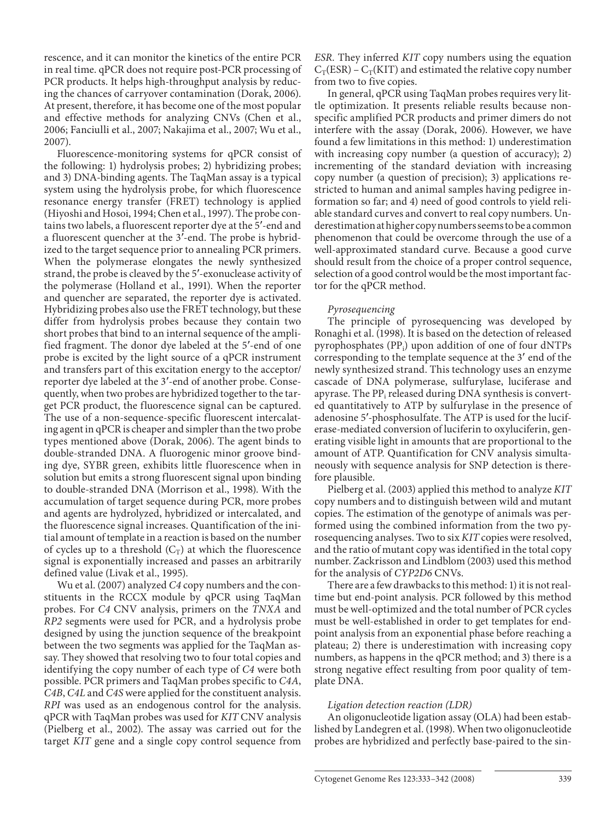rescence, and it can monitor the kinetics of the entire PCR in real time. qPCR does not require post-PCR processing of PCR products. It helps high-throughput analysis by reducing the chances of carryover contamination (Dorak, 2006). At present, therefore, it has become one of the most popular and effective methods for analyzing CNVs (Chen et al., 2006; Fanciulli et al., 2007; Nakajima et al., 2007; Wu et al., 2007).

 Fluorescence-monitoring systems for qPCR consist of the following: 1) hydrolysis probes; 2) hybridizing probes; and 3) DNA-binding agents. The TaqMan assay is a typical system using the hydrolysis probe, for which fluorescence resonance energy transfer (FRET) technology is applied (Hiyoshi and Hosoi, 1994; Chen et al., 1997). The probe contains two labels, a fluorescent reporter dye at the 5'-end and a fluorescent quencher at the 3'-end. The probe is hybridized to the target sequence prior to annealing PCR primers. When the polymerase elongates the newly synthesized strand, the probe is cleaved by the 5--exonuclease activity of the polymerase (Holland et al., 1991). When the reporter and quencher are separated, the reporter dye is activated. Hybridizing probes also use the FRET technology, but these differ from hydrolysis probes because they contain two short probes that bind to an internal sequence of the amplified fragment. The donor dye labeled at the 5'-end of one probe is excited by the light source of a qPCR instrument and transfers part of this excitation energy to the acceptor/ reporter dye labeled at the 3'-end of another probe. Consequently, when two probes are hybridized together to the target PCR product, the fluorescence signal can be captured. The use of a non-sequence-specific fluorescent intercalating agent in qPCR is cheaper and simpler than the two probe types mentioned above (Dorak, 2006). The agent binds to double-stranded DNA. A fluorogenic minor groove binding dye, SYBR green, exhibits little fluorescence when in solution but emits a strong fluorescent signal upon binding to double-stranded DNA (Morrison et al., 1998). With the accumulation of target sequence during PCR, more probes and agents are hydrolyzed, hybridized or intercalated, and the fluorescence signal increases. Quantification of the initial amount of template in a reaction is based on the number of cycles up to a threshold  $(C_T)$  at which the fluorescence signal is exponentially increased and passes an arbitrarily defined value (Livak et al., 1995).

 Wu et al. (2007) analyzed *C4* copy numbers and the constituents in the RCCX module by qPCR using TaqMan probes. For *C4* CNV analysis, primers on the *TNXA* and *RP2* segments were used for PCR, and a hydrolysis probe designed by using the junction sequence of the breakpoint between the two segments was applied for the TaqMan assay. They showed that resolving two to four total copies and identifying the copy number of each type of *C4* were both possible. PCR primers and TaqMan probes specific to *C4A* , *C4B* , *C4L* and *C4S* were applied for the constituent analysis. *RPI* was used as an endogenous control for the analysis. qPCR with TaqMan probes was used for *KIT* CNV analysis (Pielberg et al., 2002). The assay was carried out for the target *KIT* gene and a single copy control sequence from *ESR* . They inferred *KIT* copy numbers using the equation  $C_T(ESR)$  –  $C_T(KIT)$  and estimated the relative copy number from two to five copies.

 In general, qPCR using TaqMan probes requires very little optimization. It presents reliable results because nonspecific amplified PCR products and primer dimers do not interfere with the assay (Dorak, 2006). However, we have found a few limitations in this method: 1) underestimation with increasing copy number (a question of accuracy); 2) incrementing of the standard deviation with increasing copy number (a question of precision); 3) applications restricted to human and animal samples having pedigree information so far; and 4) need of good controls to yield reliable standard curves and convert to real copy numbers. Underestimation at higher copy numbers seems to be a common phenomenon that could be overcome through the use of a well-approximated standard curve. Because a good curve should result from the choice of a proper control sequence, selection of a good control would be the most important factor for the qPCR method.

### *Pyrosequencing*

 The principle of pyrosequencing was developed by Ronaghi et al. (1998). It is based on the detection of released pyrophosphates (PP<sub>i</sub>) upon addition of one of four dNTPs corresponding to the template sequence at the 3' end of the newly synthesized strand. This technology uses an enzyme cascade of DNA polymerase, sulfurylase, luciferase and apyrase. The  $PP_i$  released during DNA synthesis is converted quantitatively to ATP by sulfurylase in the presence of adenosine 5'-phosphosulfate. The ATP is used for the luciferase-mediated conversion of luciferin to oxyluciferin, generating visible light in amounts that are proportional to the amount of ATP. Quantification for CNV analysis simultaneously with sequence analysis for SNP detection is therefore plausible.

 Pielberg et al. (2003) applied this method to analyze *KIT* copy numbers and to distinguish between wild and mutant copies. The estimation of the genotype of animals was performed using the combined information from the two pyrosequencing analyses. Two to six *KIT* copies were resolved, and the ratio of mutant copy was identified in the total copy number. Zackrisson and Lindblom (2003) used this method for the analysis of *CYP2D6* CNVs.

 There are a few drawbacks to this method: 1) it is not realtime but end-point analysis. PCR followed by this method must be well-optimized and the total number of PCR cycles must be well-established in order to get templates for endpoint analysis from an exponential phase before reaching a plateau; 2) there is underestimation with increasing copy numbers, as happens in the qPCR method; and 3) there is a strong negative effect resulting from poor quality of template DNA.

#### *Ligation detection reaction (LDR)*

 An oligonucleotide ligation assay (OLA) had been established by Landegren et al. (1998). When two oligonucleotide probes are hybridized and perfectly base-paired to the sin-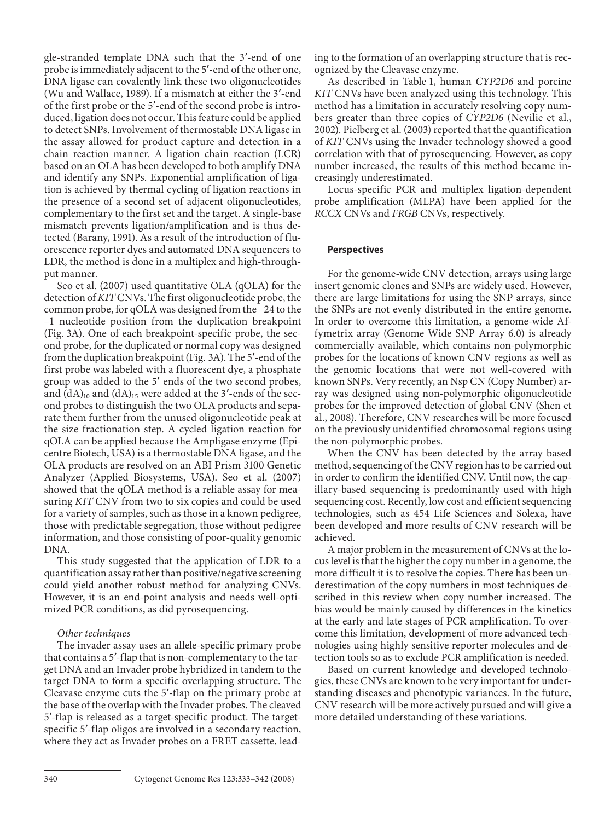gle-stranded template DNA such that the 3'-end of one probe is immediately adjacent to the 5'-end of the other one, DNA ligase can covalently link these two oligonucleotides (Wu and Wallace, 1989). If a mismatch at either the 3'-end of the first probe or the 5'-end of the second probe is introduced, ligation does not occur. This feature could be applied to detect SNPs. Involvement of thermostable DNA ligase in the assay allowed for product capture and detection in a chain reaction manner. A ligation chain reaction (LCR) based on an OLA has been developed to both amplify DNA and identify any SNPs. Exponential amplification of ligation is achieved by thermal cycling of ligation reactions in the presence of a second set of adjacent oligonucleotides, complementary to the first set and the target. A single-base mismatch prevents ligation/amplification and is thus detected (Barany, 1991). As a result of the introduction of fluorescence reporter dyes and automated DNA sequencers to LDR, the method is done in a multiplex and high-throughput manner.

 Seo et al. (2007) used quantitative OLA (qOLA) for the detection of *KIT* CNVs. The first oligonucleotide probe, the common probe, for qOLA was designed from the –24 to the –1 nucleotide position from the duplication breakpoint (Fig. 3A). One of each breakpoint-specific probe, the second probe, for the duplicated or normal copy was designed from the duplication breakpoint (Fig. 3A). The 5'-end of the first probe was labeled with a fluorescent dye, a phosphate group was added to the 5' ends of the two second probes, and  $(dA)_{10}$  and  $(dA)_{15}$  were added at the 3'-ends of the second probes to distinguish the two OLA products and separate them further from the unused oligonucleotide peak at the size fractionation step. A cycled ligation reaction for qOLA can be applied because the Ampligase enzyme (Epicentre Biotech, USA) is a thermostable DNA ligase, and the OLA products are resolved on an ABI Prism 3100 Genetic Analyzer (Applied Biosystems, USA). Seo et al. (2007) showed that the qOLA method is a reliable assay for measuring *KIT* CNV from two to six copies and could be used for a variety of samples, such as those in a known pedigree, those with predictable segregation, those without pedigree information, and those consisting of poor-quality genomic DNA.

 This study suggested that the application of LDR to a quantification assay rather than positive/negative screening could yield another robust method for analyzing CNVs. However, it is an end-point analysis and needs well-optimized PCR conditions, as did pyrosequencing.

## *Other techniques*

 The invader assay uses an allele-specific primary probe that contains a 5'-flap that is non-complementary to the target DNA and an Invader probe hybridized in tandem to the target DNA to form a specific overlapping structure. The Cleavase enzyme cuts the 5'-flap on the primary probe at the base of the overlap with the Invader probes. The cleaved 5'-flap is released as a target-specific product. The targetspecific 5'-flap oligos are involved in a secondary reaction, where they act as Invader probes on a FRET cassette, leading to the formation of an overlapping structure that is recognized by the Cleavase enzyme.

As described in Table 1, human *CYP2D6* and porcine *KIT* CNVs have been analyzed using this technology. This method has a limitation in accurately resolving copy numbers greater than three copies of *CYP2D6* (Nevilie et al., 2002). Pielberg et al. (2003) reported that the quantification of *KIT* CNVs using the Invader technology showed a good correlation with that of pyrosequencing. However, as copy number increased, the results of this method became increasingly underestimated.

 Locus-specific PCR and multiplex ligation-dependent probe amplification (MLPA) have been applied for the *RCCX* CNVs and *FRGB* CNVs, respectively.

## **Perspectives**

 For the genome-wide CNV detection, arrays using large insert genomic clones and SNPs are widely used. However, there are large limitations for using the SNP arrays, since the SNPs are not evenly distributed in the entire genome. In order to overcome this limitation, a genome-wide Affymetrix array (Genome Wide SNP Array 6.0) is already commercially available, which contains non-polymorphic probes for the locations of known CNV regions as well as the genomic locations that were not well-covered with known SNPs. Very recently, an Nsp CN (Copy Number) array was designed using non-polymorphic oligonucleotide probes for the improved detection of global CNV (Shen et al., 2008). Therefore, CNV researches will be more focused on the previously unidentified chromosomal regions using the non-polymorphic probes.

 When the CNV has been detected by the array based method, sequencing of the CNV region has to be carried out in order to confirm the identified CNV. Until now, the capillary-based sequencing is predominantly used with high sequencing cost. Recently, low cost and efficient sequencing technologies, such as 454 Life Sciences and Solexa, have been developed and more results of CNV research will be achieved.

 A major problem in the measurement of CNVs at the locus level is that the higher the copy number in a genome, the more difficult it is to resolve the copies. There has been underestimation of the copy numbers in most techniques described in this review when copy number increased. The bias would be mainly caused by differences in the kinetics at the early and late stages of PCR amplification. To overcome this limitation, development of more advanced technologies using highly sensitive reporter molecules and detection tools so as to exclude PCR amplification is needed.

 Based on current knowledge and developed technologies, these CNVs are known to be very important for understanding diseases and phenotypic variances. In the future, CNV research will be more actively pursued and will give a more detailed understanding of these variations.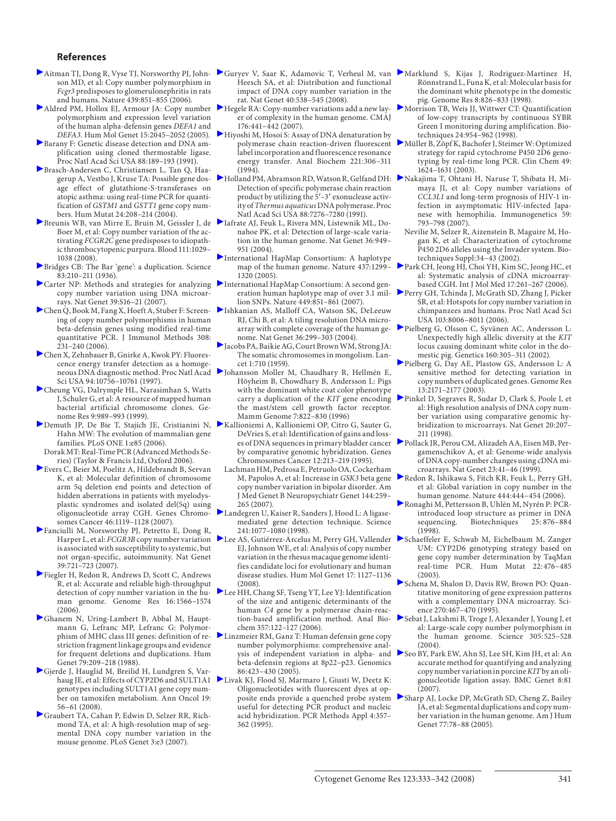#### **References**

- Aitman TJ, Dong R, Vyse TJ, Norsworthy PJ, Johnson MD, et al: Copy number polymorphism in *Fcgr3* predisposes to glomerulonephritis in rats and humans. Nature 439:851–855 (2006).
- Aldred PM, Hollox EJ, Armour JA: Copy number polymorphism and expression level variation of the human alpha-defensin genes *DEFA1* and *DEFA3* . Hum Mol Genet 15:2045–2052 (2005).
- Barany F: Genetic disease detection and DNA amplification using cloned thermostable ligase. Proc Natl Acad Sci USA 88:189–193 (1991).
- Brasch-Andersen C, Christiansen L, Tan Q, Haagerup A, Vestbo J, Kruse TA: Possible gene dosage effect of glutathione-S-transferases on atopic asthma: using real-time PCR for quantification of *GSTM1* and *GSTT1* gene copy numbers. Hum Mutat 24:208–214 (2004).
- Boer M, et al: Copy number variation of the activating *FCGR2C* gene predisposes to idiopathic thrombocytopenic purpura. Blood 111:1029– 1038 (2008).
- Bridges CB: The Bar 'gene': a duplication. Science 83:210–211 (1936).
- Carter NP: Methods and strategies for analyzing copy number variation using DNA microarrays. Nat Genet 39:S16–21 (2007).
- Chen Q, Book M, Fang X, Hoeft A, Stuber F: Screening of copy number polymorphisms in human beta-defensin genes using modified real-time quantitative PCR. J Immunol Methods 308: 231–240 (2006).
- Chen X, Zehnbauer B, Gnirke A, Kwok PY: Fluorescence energy transfer detection as a homogeneous DNA diagnostic method. Proc Natl Acad Sci USA 94:10756–10761 (1997).
- Cheung VG, Dalrymple HL, Narasimhan S, Watts J, Schuler G, et al: A resource of mapped human bacterial artificial chromosome clones. Genome Res 9:989–993 (1999).
- Demuth JP, De Bie T, Stajich JE, Cristianini N, Hahn MW: The evolution of mammalian gene families. PLoS ONE 1:e85 (2006).
- Dorak MT: Real-Time PCR (Advanced Methods Series) (Taylor & Francis Ltd, Oxford 2006).
- Evers C, Beier M, Poelitz A, Hildebrandt B, Servan K, et al: Molecular definition of chromosome arm 5q deletion end points and detection of hidden aberrations in patients with myelodysplastic syndromes and isolated del( $5q$ ) using oligonucleotide array CGH. Genes Chromosomes Cancer 46:1119–1128 (2007).
- Fanciulli M, Norsworthy PJ, Petretto E, Dong R, Harper L, et al: *FCGR3B* copy number variation is associated with susceptibility to systemic, but not organ-specific, autoimmunity. Nat Genet 39:721–723 (2007).
- Fiegler H, Redon R, Andrews D, Scott C, Andrews R, et al: Accurate and reliable high-throughput detection of copy number variation in the human genome. Genome Res 16: 1566–1574 (2006).
- Ghanem N, Uring-Lambert B, Abbal M, Hauptmann G, Lefranc MP, Lefranc G: Polymorphism of MHC class III genes: definition of restriction fragment linkage groups and evidence for frequent deletions and duplications. Hum Genet 79:209-218 (1988).
- Gjerde J, Hauglid M, Breilid H, Lundgren S, Varhaug JE, et al: Effects of CYP2D6 and SULT1A1 genotypes including SULT1A1 gene copy number on tamoxifen metabolism. Ann Oncol 19: 56–61 (2008).
- Graubert TA, Cahan P, Edwin D, Selzer RR, Richmond TA, et al: A high-resolution map of segmental DNA copy number variation in the mouse genome. PLoS Genet 3:e3 (2007).
- Heesch SA, et al: Distribution and functional impact of DNA copy number variation in the rat. Nat Genet 40:538–545 (2008).
- Hegele RA: Copy-number variations add a new layer of complexity in the human genome. CMAJ 176:441–442 (2007).
- Hiyoshi M, Hosoi S: Assay of DNA denaturation by label incorporation and fluorescence resonance energy transfer. Anal Biochem 221:306-311  $(1994)$ .
- Detection of specific polymerase chain reaction product by utilizing the 5'-3' exonuclease activity of *Thermus aquaticus* DNA polymerase. Proc Natl Acad Sci USA 88:7276–7280 (1991).
- Breunis WB, van Mirre E, Bruin M, Geissler J, de Iafrate AJ, Feuk L, Rivera MN, Listewnik ML, Donahoe PK, et al: Detection of large-scale variation in the human genome. Nat Genet 36:949– 951 (2004).
	- International HapMap Consortium: A haplotype map of the human genome. Nature 437:1299– 1320 (2005).
	- International HapMap Consortium: A second generation human haplotype map of over 3.1 million SNPs. Nature 449:851–861 (2007).
	- Ishkanian AS, Malloff CA, Watson SK, DeLeeuw RJ, Chi B, et al: A tiling resolution DNA microarray with complete coverage of the human genome. Nat Genet 36:299–303 (2004).
	- Jacobs PA, Baikie AG, Court Brown WM, Strong JA: The somatic chromosomes in mongolism. Lancet 1:710 (1959).
	- Johansson Moller M, Chaudhary R, Hellmén E, Höyheim B, Chowdhary B, Andersson L: Pigs with the dominant white coat color phenotype carry a duplication of the *KIT* gene encoding the mast/stem cell growth factor receptor. Mamm Genome 7:822–830 (1996)
	- Kallioniemi A, Kallioniemi OP, Citro G, Sauter G, DeVries S, et al: Identification of gains and losses of DNA sequences in primary bladder cancer by comparative genomic hybridization. Genes Chromosomes Cancer 12:213–219 (1995).
		- Lachman HM, Pedrosa E, Petruolo OA, Cockerham M, Papolos A, et al: Increase in *GSK3* beta gene copy number variation in bipolar disorder. Am J Med Genet B Neuropsychiatr Genet 144:259– 265 (2007).
	- Landegren U, Kaiser R, Sanders J, Hood L: A ligasemediated gene detection technique. Science 241:1077–1080 (1998).
	- EJ, Johnson WE, et al: Analysis of copy number variation in the rhesus macaque genome identifies candidate loci for evolutionary and human disease studies. Hum Mol Genet 17: 1127–1136 (2008).
	- Lee HH, Chang SF, Tseng YT, Lee YJ: Identification of the size and antigenic determinants of the human *C4* gene by a polymerase chain-reaction-based amplification method. Anal Biochem 357:122–127 (2006).
	- Linzmeier RM, Ganz T: Human defensin gene copy number polymorphisms: comprehensive analysis of independent variation in alpha- and beta-defensin regions at 8p22–p23. Genomics 86:423–430 (2005).
	- Livak KJ, Flood SJ, Marmaro J, Giusti W, Deetz K: Oligonucleotides with fluorescent dyes at opposite ends provide a quenched probe system useful for detecting PCR product and nucleic acid hybridization. PCR Methods Appl 4:357– 362 (1995).
- Guryev V, Saar K, Adamovic T, Verheul M, van Marklund S, Kijas J, Rodriguez-Martinez H, Rönnstrand L, Funa K, et al: Molecular basis for the dominant white phenotype in the domestic pig. Genome Res 8:826–833 (1998).
	- Morrison TB, Weis JJ, Wittwer CT: Quantification of low-copy transcripts by continuous SYBR Green I monitoring during amplification. Biotechniques 24:954–962 (1998).
	- polymerase chain reaction-driven fluorescent Müller B, Zöpf K, Bachofer J, Steimer W: Optimized strategy for rapid cytochrome P450 2D6 genotyping by real-time long PCR. Clin Chem 49: 1624–1631 (2003).
- Holland PM, Abramson RD, Watson R, Gelfand DH: Nakajima T, Ohtani H, Naruse T, Shibata H, Mimaya JI, et al: Copy number variations of *CCL3L1* and long-term prognosis of HIV-1 infection in asymptomatic HIV-infected Japanese with hemophilia. Immunogenetics 59: 793–798 (2007).
	- Nevilie M, Selzer R, Aizenstein B, Maguire M, Hogan K, et al: Characterization of cytochrome P450 2D6 alleles using the Invader system. Biotechniques Suppl:34–43 (2002).
	- Park CH, Jeong HJ, Choi YH, Kim SC, Jeong HC, et al: Systematic analysis of cDNA microarraybased CGH. Int J Mol Med 17:261–267 (2006).
	- Perry GH, Tchinda J, McGrath SD, Zhang J, Picker SR, et al: Hotspots for copy number variation in chimpanzees and humans. Proc Natl Acad Sci USA 103:8006–8011 (2006).
	- Pielberg G, Olsson C, Syvänen AC, Andersson L: Unexpectedly high allelic diversity at the *KIT* locus causing dominant white color in the domestic pig. Genetics 160:305–311 (2002).
	- Pielberg G, Day AE, Plastow GS, Andersson L: A sensitive method for detecting variation in copy numbers of duplicated genes. Genome Res 13:2171–2177 (2003).
	- Pinkel D, Segraves R, Sudar D, Clark S, Poole I, et al: High resolution analysis of DNA copy number variation using comparative genomic hybridization to microarrays. Nat Genet 20:207– 211 (1998).
	- Pollack JR, Perou CM, Alizadeh AA, Eisen MB, Pergamenschikov A, et al: Genome-wide analysis of DNA copy-number changes using cDNA microarrays. Nat Genet 23:41–46 (1999).
	- Redon R, Ishikawa S, Fitch KR, Feuk L, Perry GH, et al: Global variation in copy number in the human genome. Nature 444:444–454 (2006).
	- Ronaghi M, Pettersson B, Uhlén M, Nyrén P: PCRintroduced loop structure as primer in DNA<br>sequencing. Biotechniques 25:876-884 Biotechniques 25: 876–884 (1998).
- Lee AS, Gutiérrez-Arcelus M, Perry GH, Vallender BSchaeffeler E, Schwab M, Eichelbaum M, Zanger UM: CYP2D6 genotyping strategy based on gene copy number determination by TaqMan real-time PCR. Hum Mutat 22: 476–485  $(2003)$ 
	- Schena M, Shalon D, Davis RW, Brown PO: Quantitative monitoring of gene expression patterns with a complementary DNA microarray. Science 270:467-470 (1995).
	- Sebat J, Lakshmi B, Troge J, Alexander J, Young J, et al: Large-scale copy number polymorphism in the human genome. Science 305: 525–528 (2004).
	- Seo BY, Park EW, Ahn SJ, Lee SH, Kim JH, et al: An accurate method for quantifying and analyzing copy number variation in porcine *KIT* by an oligonucleotide ligation assay. BMC Genet 8:81  $(2007)$ .
	- Sharp AJ, Locke DP, McGrath SD, Cheng Z, Bailey JA, et al: Segmental duplications and copy number variation in the human genome. Am J Hum Genet 77:78–88 (2005).